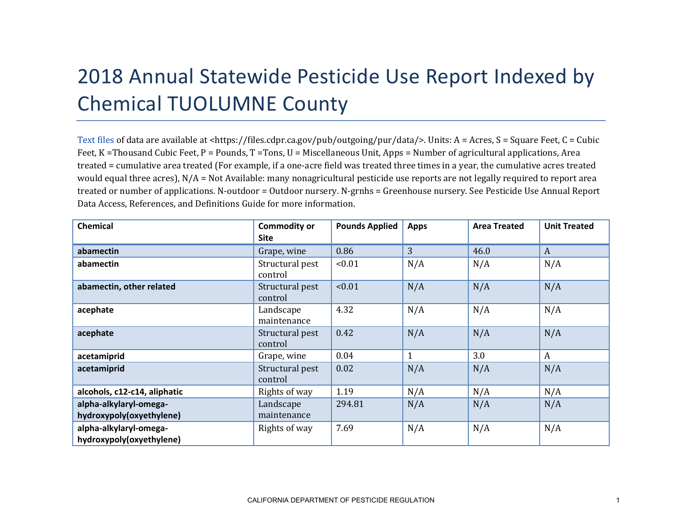## 2018 Annual Statewide Pesticide Use Report Indexed by Chemical TUOLUMNE County

[Text files](https://files.cdpr.ca.gov/pub/outgoing/pur/data/) of data are available at <https://files.cdpr.ca.gov/pub/outgoing/pur/data/>. Units: A = Acres, S = Square Feet, C = Cubic Feet, K = Thousand Cubic Feet, P = Pounds, T = Tons, U = Miscellaneous Unit, Apps = Number of agricultural applications, Area treated = cumulative area treated (For example, if a one-acre field was treated three times in a year, the cumulative acres treated would equal three acres), N/A = Not Available: many nonagricultural pesticide use reports are not legally required to report area treated or number of applications. N-outdoor = Outdoor nursery. N-grnhs = Greenhouse nursery. See Pesticide Use Annual Report Data Access, References, and Definitions Guide for more information.

| <b>Chemical</b>              | <b>Commodity or</b><br><b>Site</b> | <b>Pounds Applied</b> | <b>Apps</b> | <b>Area Treated</b> | <b>Unit Treated</b> |
|------------------------------|------------------------------------|-----------------------|-------------|---------------------|---------------------|
| abamectin                    | Grape, wine                        | 0.86                  | 3           | 46.0                | A                   |
| abamectin                    | Structural pest<br>control         | < 0.01                | N/A         | N/A                 | N/A                 |
| abamectin, other related     | Structural pest<br>control         | < 0.01                | N/A         | N/A                 | N/A                 |
| acephate                     | Landscape<br>maintenance           | 4.32                  | N/A         | N/A                 | N/A                 |
| acephate                     | Structural pest<br>control         | 0.42                  | N/A         | N/A                 | N/A                 |
| acetamiprid                  | Grape, wine                        | 0.04                  | 1           | 3.0                 | A                   |
| acetamiprid                  | Structural pest<br>control         | 0.02                  | N/A         | N/A                 | N/A                 |
| alcohols, c12-c14, aliphatic | Rights of way                      | 1.19                  | N/A         | N/A                 | N/A                 |
| alpha-alkylaryl-omega-       | Landscape                          | 294.81                | N/A         | N/A                 | N/A                 |
| hydroxypoly(oxyethylene)     | maintenance                        |                       |             |                     |                     |
| alpha-alkylaryl-omega-       | Rights of way                      | 7.69                  | N/A         | N/A                 | N/A                 |
| hydroxypoly(oxyethylene)     |                                    |                       |             |                     |                     |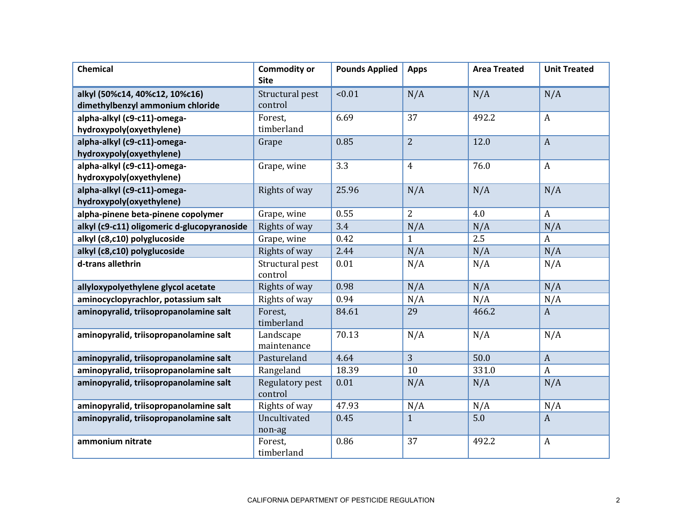| <b>Chemical</b>                                                    | <b>Commodity or</b><br><b>Site</b> | <b>Pounds Applied</b> | <b>Apps</b>    | <b>Area Treated</b> | <b>Unit Treated</b> |
|--------------------------------------------------------------------|------------------------------------|-----------------------|----------------|---------------------|---------------------|
| alkyl (50%c14, 40%c12, 10%c16)<br>dimethylbenzyl ammonium chloride | Structural pest<br>control         | < 0.01                | N/A            | N/A                 | N/A                 |
| alpha-alkyl (c9-c11)-omega-<br>hydroxypoly(oxyethylene)            | Forest,<br>timberland              | 6.69                  | 37             | 492.2               | $\boldsymbol{A}$    |
| alpha-alkyl (c9-c11)-omega-<br>hydroxypoly(oxyethylene)            | Grape                              | 0.85                  | $\overline{2}$ | 12.0                | $\overline{A}$      |
| alpha-alkyl (c9-c11)-omega-<br>hydroxypoly(oxyethylene)            | Grape, wine                        | 3.3                   | $\overline{4}$ | 76.0                | $\boldsymbol{A}$    |
| alpha-alkyl (c9-c11)-omega-<br>hydroxypoly(oxyethylene)            | Rights of way                      | 25.96                 | N/A            | N/A                 | N/A                 |
| alpha-pinene beta-pinene copolymer                                 | Grape, wine                        | 0.55                  | $\overline{2}$ | 4.0                 | $\mathbf{A}$        |
| alkyl (c9-c11) oligomeric d-glucopyranoside                        | Rights of way                      | 3.4                   | N/A            | N/A                 | N/A                 |
| alkyl (c8,c10) polyglucoside                                       | Grape, wine                        | 0.42                  | $\mathbf{1}$   | 2.5                 | A                   |
| alkyl (c8,c10) polyglucoside                                       | Rights of way                      | 2.44                  | N/A            | N/A                 | N/A                 |
| d-trans allethrin                                                  | Structural pest<br>control         | 0.01                  | N/A            | N/A                 | N/A                 |
| allyloxypolyethylene glycol acetate                                | Rights of way                      | 0.98                  | N/A            | N/A                 | N/A                 |
| aminocyclopyrachlor, potassium salt                                | Rights of way                      | 0.94                  | N/A            | N/A                 | N/A                 |
| aminopyralid, triisopropanolamine salt                             | Forest,<br>timberland              | 84.61                 | 29             | 466.2               | $\mathbf{A}$        |
| aminopyralid, triisopropanolamine salt                             | Landscape<br>maintenance           | 70.13                 | N/A            | N/A                 | N/A                 |
| aminopyralid, triisopropanolamine salt                             | Pastureland                        | 4.64                  | 3              | 50.0                | $\overline{A}$      |
| aminopyralid, triisopropanolamine salt                             | Rangeland                          | 18.39                 | 10             | 331.0               | $\boldsymbol{A}$    |
| aminopyralid, triisopropanolamine salt                             | Regulatory pest<br>control         | 0.01                  | N/A            | N/A                 | N/A                 |
| aminopyralid, triisopropanolamine salt                             | Rights of way                      | 47.93                 | N/A            | N/A                 | N/A                 |
| aminopyralid, triisopropanolamine salt                             | Uncultivated<br>non-ag             | 0.45                  | $\mathbf{1}$   | 5.0                 | $\mathbf{A}$        |
| ammonium nitrate                                                   | Forest,<br>timberland              | 0.86                  | 37             | 492.2               | $\boldsymbol{A}$    |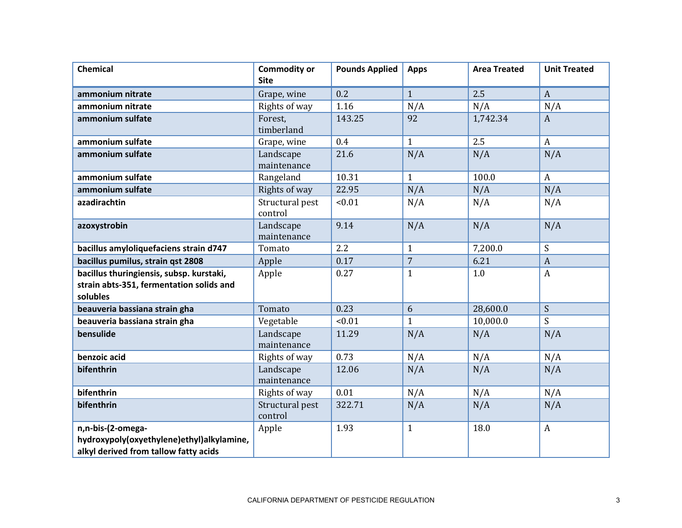| <b>Chemical</b>                                                                                         | <b>Commodity or</b><br><b>Site</b> | <b>Pounds Applied</b> | <b>Apps</b>    | <b>Area Treated</b> | <b>Unit Treated</b> |
|---------------------------------------------------------------------------------------------------------|------------------------------------|-----------------------|----------------|---------------------|---------------------|
| ammonium nitrate                                                                                        | Grape, wine                        | 0.2                   | $\mathbf{1}$   | 2.5                 | $\mathbf{A}$        |
| ammonium nitrate                                                                                        | Rights of way                      | 1.16                  | N/A            | N/A                 | N/A                 |
| ammonium sulfate                                                                                        | Forest,<br>timberland              | 143.25                | 92             | 1,742.34            | $\mathbf{A}$        |
| ammonium sulfate                                                                                        | Grape, wine                        | 0.4                   | $\mathbf{1}$   | 2.5                 | $\mathbf{A}$        |
| ammonium sulfate                                                                                        | Landscape<br>maintenance           | 21.6                  | N/A            | N/A                 | N/A                 |
| ammonium sulfate                                                                                        | Rangeland                          | 10.31                 | $\mathbf{1}$   | 100.0               | $\mathbf{A}$        |
| ammonium sulfate                                                                                        | Rights of way                      | 22.95                 | N/A            | N/A                 | N/A                 |
| azadirachtin                                                                                            | Structural pest<br>control         | < 0.01                | N/A            | N/A                 | N/A                 |
| azoxystrobin                                                                                            | Landscape<br>maintenance           | 9.14                  | N/A            | N/A                 | N/A                 |
| bacillus amyloliquefaciens strain d747                                                                  | Tomato                             | 2.2                   | $\mathbf{1}$   | 7,200.0             | S                   |
| bacillus pumilus, strain qst 2808                                                                       | Apple                              | 0.17                  | $\overline{7}$ | 6.21                | $\overline{A}$      |
| bacillus thuringiensis, subsp. kurstaki,<br>strain abts-351, fermentation solids and<br>solubles        | Apple                              | 0.27                  | $\mathbf{1}$   | 1.0                 | $\boldsymbol{A}$    |
| beauveria bassiana strain gha                                                                           | Tomato                             | 0.23                  | 6              | 28,600.0            | S                   |
| beauveria bassiana strain gha                                                                           | Vegetable                          | < 0.01                | $\mathbf{1}$   | 10,000.0            | S                   |
| bensulide                                                                                               | Landscape<br>maintenance           | 11.29                 | N/A            | N/A                 | N/A                 |
| benzoic acid                                                                                            | Rights of way                      | 0.73                  | N/A            | N/A                 | N/A                 |
| bifenthrin                                                                                              | Landscape<br>maintenance           | 12.06                 | N/A            | N/A                 | N/A                 |
| bifenthrin                                                                                              | Rights of way                      | 0.01                  | N/A            | N/A                 | N/A                 |
| bifenthrin                                                                                              | Structural pest<br>control         | 322.71                | N/A            | N/A                 | N/A                 |
| n,n-bis-(2-omega-<br>hydroxypoly(oxyethylene)ethyl)alkylamine,<br>alkyl derived from tallow fatty acids | Apple                              | 1.93                  | $\mathbf{1}$   | 18.0                | $\boldsymbol{A}$    |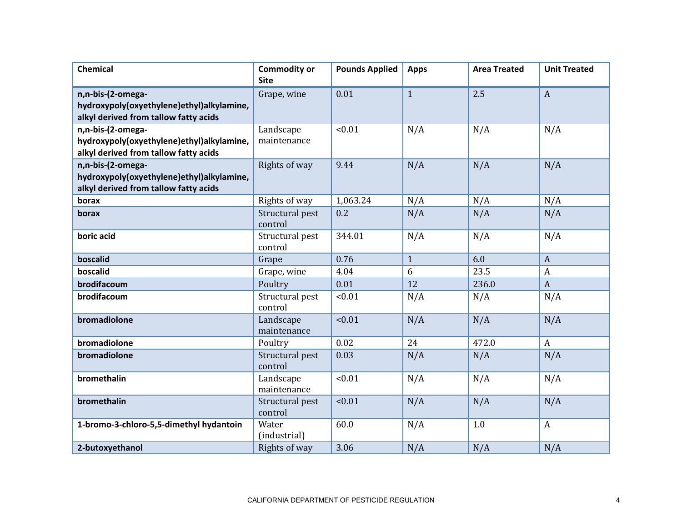| <b>Chemical</b>                                                                                         | <b>Commodity or</b><br><b>Site</b> | <b>Pounds Applied</b> | <b>Apps</b>  | <b>Area Treated</b> | <b>Unit Treated</b> |
|---------------------------------------------------------------------------------------------------------|------------------------------------|-----------------------|--------------|---------------------|---------------------|
| n,n-bis-(2-omega-<br>hydroxypoly(oxyethylene)ethyl)alkylamine,<br>alkyl derived from tallow fatty acids | Grape, wine                        | 0.01                  | $\mathbf{1}$ | 2.5                 | $\boldsymbol{A}$    |
| n,n-bis-(2-omega-<br>hydroxypoly(oxyethylene)ethyl)alkylamine,<br>alkyl derived from tallow fatty acids | Landscape<br>maintenance           | < 0.01                | N/A          | N/A                 | N/A                 |
| n,n-bis-(2-omega-<br>hydroxypoly(oxyethylene)ethyl)alkylamine,<br>alkyl derived from tallow fatty acids | Rights of way                      | 9.44                  | N/A          | N/A                 | N/A                 |
| borax                                                                                                   | Rights of way                      | 1,063.24              | N/A          | N/A                 | N/A                 |
| borax                                                                                                   | Structural pest<br>control         | 0.2                   | N/A          | N/A                 | N/A                 |
| boric acid                                                                                              | Structural pest<br>control         | 344.01                | N/A          | N/A                 | N/A                 |
| boscalid                                                                                                | Grape                              | 0.76                  | $\mathbf{1}$ | 6.0                 | $\boldsymbol{A}$    |
| boscalid                                                                                                | Grape, wine                        | 4.04                  | 6            | 23.5                | $\boldsymbol{A}$    |
| brodifacoum                                                                                             | Poultry                            | 0.01                  | 12           | 236.0               | $\boldsymbol{A}$    |
| brodifacoum                                                                                             | Structural pest<br>control         | < 0.01                | N/A          | N/A                 | N/A                 |
| bromadiolone                                                                                            | Landscape<br>maintenance           | < 0.01                | N/A          | N/A                 | N/A                 |
| bromadiolone                                                                                            | Poultry                            | 0.02                  | 24           | 472.0               | $\boldsymbol{A}$    |
| bromadiolone                                                                                            | Structural pest<br>control         | 0.03                  | N/A          | N/A                 | N/A                 |
| bromethalin                                                                                             | Landscape<br>maintenance           | < 0.01                | N/A          | N/A                 | N/A                 |
| bromethalin                                                                                             | Structural pest<br>control         | < 0.01                | N/A          | N/A                 | N/A                 |
| 1-bromo-3-chloro-5,5-dimethyl hydantoin                                                                 | Water<br>(industrial)              | 60.0                  | N/A          | 1.0                 | $\boldsymbol{A}$    |
| 2-butoxyethanol                                                                                         | Rights of way                      | 3.06                  | N/A          | N/A                 | N/A                 |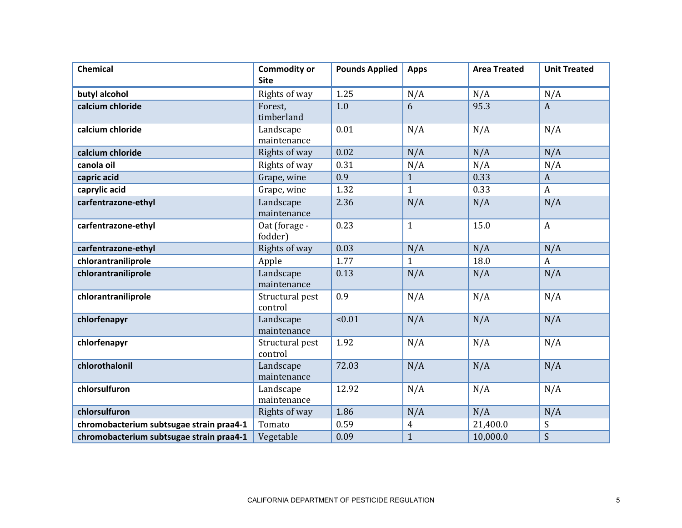| <b>Chemical</b>                          | <b>Commodity or</b><br><b>Site</b> | <b>Pounds Applied</b> | <b>Apps</b>    | <b>Area Treated</b> | <b>Unit Treated</b> |
|------------------------------------------|------------------------------------|-----------------------|----------------|---------------------|---------------------|
| butyl alcohol                            | Rights of way                      | 1.25                  | N/A            | N/A                 | N/A                 |
| calcium chloride                         | Forest,<br>timberland              | 1.0                   | 6              | 95.3                | $\boldsymbol{A}$    |
| calcium chloride                         | Landscape<br>maintenance           | 0.01                  | N/A            | N/A                 | N/A                 |
| calcium chloride                         | Rights of way                      | 0.02                  | N/A            | N/A                 | N/A                 |
| canola oil                               | Rights of way                      | 0.31                  | N/A            | N/A                 | N/A                 |
| capric acid                              | Grape, wine                        | 0.9                   | $\mathbf{1}$   | 0.33                | $\mathbf{A}$        |
| caprylic acid                            | Grape, wine                        | 1.32                  | $\mathbf{1}$   | 0.33                | $\mathbf{A}$        |
| carfentrazone-ethyl                      | Landscape<br>maintenance           | 2.36                  | N/A            | N/A                 | N/A                 |
| carfentrazone-ethyl                      | Oat (forage -<br>fodder)           | 0.23                  | $\mathbf{1}$   | 15.0                | $\mathbf{A}$        |
| carfentrazone-ethyl                      | Rights of way                      | 0.03                  | N/A            | N/A                 | N/A                 |
| chlorantraniliprole                      | Apple                              | 1.77                  | $\mathbf{1}$   | 18.0                | $\boldsymbol{A}$    |
| chlorantraniliprole                      | Landscape<br>maintenance           | 0.13                  | N/A            | N/A                 | N/A                 |
| chlorantraniliprole                      | Structural pest<br>control         | 0.9                   | N/A            | N/A                 | N/A                 |
| chlorfenapyr                             | Landscape<br>maintenance           | < 0.01                | N/A            | N/A                 | N/A                 |
| chlorfenapyr                             | Structural pest<br>control         | 1.92                  | N/A            | N/A                 | N/A                 |
| chlorothalonil                           | Landscape<br>maintenance           | 72.03                 | N/A            | N/A                 | N/A                 |
| chlorsulfuron                            | Landscape<br>maintenance           | 12.92                 | N/A            | N/A                 | N/A                 |
| chlorsulfuron                            | Rights of way                      | 1.86                  | N/A            | N/A                 | N/A                 |
| chromobacterium subtsugae strain praa4-1 | Tomato                             | 0.59                  | $\overline{4}$ | 21,400.0            | S                   |
| chromobacterium subtsugae strain praa4-1 | Vegetable                          | 0.09                  | $\mathbf{1}$   | 10,000.0            | S                   |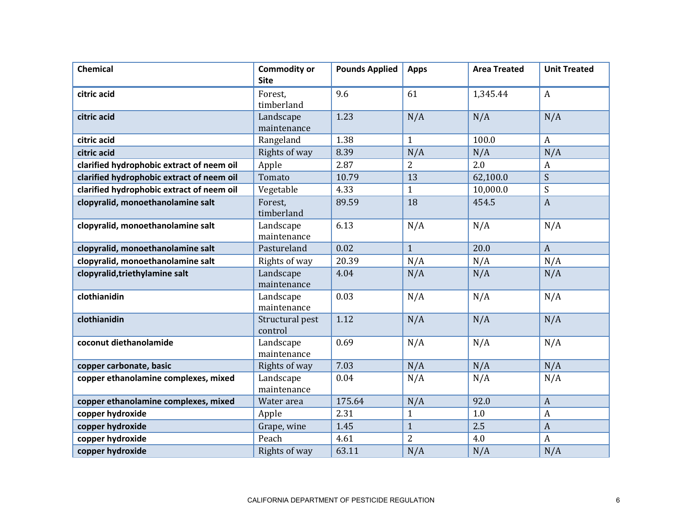| <b>Chemical</b>                           | <b>Commodity or</b><br><b>Site</b> | <b>Pounds Applied</b> | <b>Apps</b>    | <b>Area Treated</b> | <b>Unit Treated</b> |
|-------------------------------------------|------------------------------------|-----------------------|----------------|---------------------|---------------------|
| citric acid                               | Forest,<br>timberland              | 9.6                   | 61             | 1,345.44            | $\boldsymbol{A}$    |
| citric acid                               | Landscape<br>maintenance           | 1.23                  | N/A            | N/A                 | N/A                 |
| citric acid                               | Rangeland                          | 1.38                  | $\mathbf{1}$   | 100.0               | $\boldsymbol{A}$    |
| citric acid                               | Rights of way                      | 8.39                  | N/A            | N/A                 | N/A                 |
| clarified hydrophobic extract of neem oil | Apple                              | 2.87                  | $\overline{2}$ | 2.0                 | A                   |
| clarified hydrophobic extract of neem oil | Tomato                             | 10.79                 | 13             | 62,100.0            | S                   |
| clarified hydrophobic extract of neem oil | Vegetable                          | 4.33                  | $\mathbf{1}$   | 10,000.0            | S                   |
| clopyralid, monoethanolamine salt         | Forest,<br>timberland              | 89.59                 | 18             | 454.5               | $\boldsymbol{A}$    |
| clopyralid, monoethanolamine salt         | Landscape<br>maintenance           | 6.13                  | N/A            | N/A                 | N/A                 |
| clopyralid, monoethanolamine salt         | Pastureland                        | 0.02                  | $\mathbf{1}$   | 20.0                | $\overline{A}$      |
| clopyralid, monoethanolamine salt         | Rights of way                      | 20.39                 | N/A            | N/A                 | N/A                 |
| clopyralid, triethylamine salt            | Landscape<br>maintenance           | 4.04                  | N/A            | N/A                 | N/A                 |
| clothianidin                              | Landscape<br>maintenance           | 0.03                  | N/A            | N/A                 | N/A                 |
| clothianidin                              | Structural pest<br>control         | 1.12                  | N/A            | N/A                 | N/A                 |
| coconut diethanolamide                    | Landscape<br>maintenance           | 0.69                  | N/A            | N/A                 | N/A                 |
| copper carbonate, basic                   | Rights of way                      | 7.03                  | N/A            | N/A                 | N/A                 |
| copper ethanolamine complexes, mixed      | Landscape<br>maintenance           | 0.04                  | N/A            | N/A                 | N/A                 |
| copper ethanolamine complexes, mixed      | Water area                         | 175.64                | N/A            | 92.0                | $\boldsymbol{A}$    |
| copper hydroxide                          | Apple                              | 2.31                  | $\mathbf{1}$   | 1.0                 | A                   |
| copper hydroxide                          | Grape, wine                        | 1.45                  | $\mathbf{1}$   | 2.5                 | $\overline{A}$      |
| copper hydroxide                          | Peach                              | 4.61                  | $\overline{2}$ | 4.0                 | $\boldsymbol{A}$    |
| copper hydroxide                          | Rights of way                      | 63.11                 | N/A            | N/A                 | N/A                 |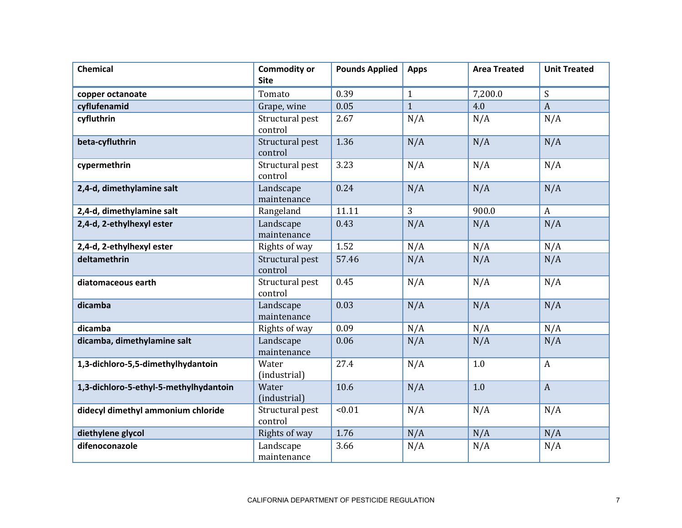| <b>Chemical</b>                        | <b>Commodity or</b><br><b>Site</b> | <b>Pounds Applied</b> | <b>Apps</b>  | <b>Area Treated</b> | <b>Unit Treated</b> |
|----------------------------------------|------------------------------------|-----------------------|--------------|---------------------|---------------------|
| copper octanoate                       | Tomato                             | 0.39                  | $\mathbf{1}$ | 7,200.0             | S                   |
| cyflufenamid                           | Grape, wine                        | 0.05                  | $\mathbf{1}$ | 4.0                 | $\boldsymbol{A}$    |
| cyfluthrin                             | Structural pest<br>control         | 2.67                  | N/A          | N/A                 | N/A                 |
| beta-cyfluthrin                        | Structural pest<br>control         | 1.36                  | N/A          | N/A                 | N/A                 |
| cypermethrin                           | Structural pest<br>control         | 3.23                  | N/A          | N/A                 | N/A                 |
| 2,4-d, dimethylamine salt              | Landscape<br>maintenance           | 0.24                  | N/A          | N/A                 | N/A                 |
| 2,4-d, dimethylamine salt              | Rangeland                          | 11.11                 | 3            | 900.0               | $\boldsymbol{A}$    |
| 2,4-d, 2-ethylhexyl ester              | Landscape<br>maintenance           | 0.43                  | N/A          | N/A                 | N/A                 |
| 2,4-d, 2-ethylhexyl ester              | Rights of way                      | 1.52                  | N/A          | N/A                 | N/A                 |
| deltamethrin                           | Structural pest<br>control         | 57.46                 | N/A          | N/A                 | N/A                 |
| diatomaceous earth                     | Structural pest<br>control         | 0.45                  | N/A          | N/A                 | N/A                 |
| dicamba                                | Landscape<br>maintenance           | 0.03                  | N/A          | N/A                 | N/A                 |
| dicamba                                | Rights of way                      | 0.09                  | N/A          | N/A                 | N/A                 |
| dicamba, dimethylamine salt            | Landscape<br>maintenance           | 0.06                  | N/A          | N/A                 | N/A                 |
| 1,3-dichloro-5,5-dimethylhydantoin     | Water<br>(industrial)              | 27.4                  | N/A          | 1.0                 | $\mathbf{A}$        |
| 1,3-dichloro-5-ethyl-5-methylhydantoin | Water<br>(industrial)              | 10.6                  | N/A          | 1.0                 | $\boldsymbol{A}$    |
| didecyl dimethyl ammonium chloride     | Structural pest<br>control         | < 0.01                | N/A          | N/A                 | N/A                 |
| diethylene glycol                      | Rights of way                      | 1.76                  | N/A          | N/A                 | N/A                 |
| difenoconazole                         | Landscape<br>maintenance           | 3.66                  | N/A          | N/A                 | N/A                 |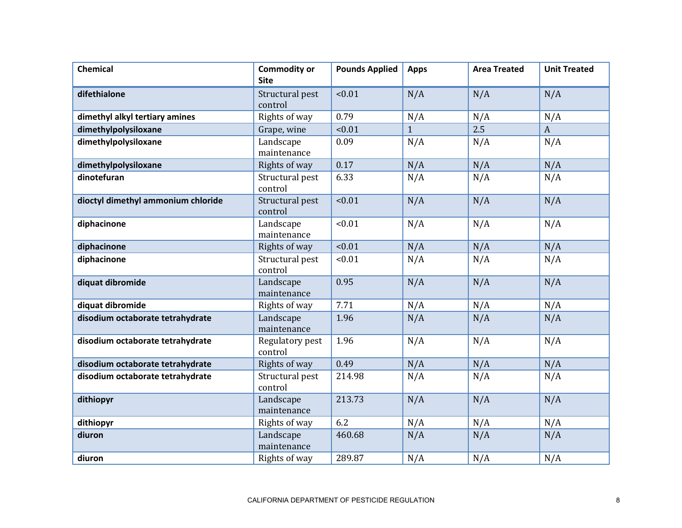| <b>Chemical</b>                    | <b>Commodity or</b><br><b>Site</b> | <b>Pounds Applied</b> | <b>Apps</b>  | <b>Area Treated</b> | <b>Unit Treated</b> |
|------------------------------------|------------------------------------|-----------------------|--------------|---------------------|---------------------|
| difethialone                       | Structural pest<br>control         | < 0.01                | N/A          | N/A                 | N/A                 |
| dimethyl alkyl tertiary amines     | Rights of way                      | 0.79                  | N/A          | N/A                 | N/A                 |
| dimethylpolysiloxane               | Grape, wine                        | < 0.01                | $\mathbf{1}$ | 2.5                 | $\boldsymbol{A}$    |
| dimethylpolysiloxane               | Landscape<br>maintenance           | 0.09                  | N/A          | N/A                 | N/A                 |
| dimethylpolysiloxane               | Rights of way                      | 0.17                  | N/A          | N/A                 | N/A                 |
| dinotefuran                        | Structural pest<br>control         | 6.33                  | N/A          | N/A                 | N/A                 |
| dioctyl dimethyl ammonium chloride | Structural pest<br>control         | < 0.01                | N/A          | N/A                 | N/A                 |
| diphacinone                        | Landscape<br>maintenance           | < 0.01                | N/A          | N/A                 | N/A                 |
| diphacinone                        | Rights of way                      | < 0.01                | N/A          | N/A                 | N/A                 |
| diphacinone                        | Structural pest<br>control         | < 0.01                | N/A          | N/A                 | N/A                 |
| diquat dibromide                   | Landscape<br>maintenance           | 0.95                  | N/A          | N/A                 | N/A                 |
| diquat dibromide                   | Rights of way                      | 7.71                  | N/A          | N/A                 | N/A                 |
| disodium octaborate tetrahydrate   | Landscape<br>maintenance           | 1.96                  | N/A          | N/A                 | N/A                 |
| disodium octaborate tetrahydrate   | Regulatory pest<br>control         | 1.96                  | N/A          | N/A                 | N/A                 |
| disodium octaborate tetrahydrate   | Rights of way                      | 0.49                  | N/A          | N/A                 | N/A                 |
| disodium octaborate tetrahydrate   | Structural pest<br>control         | 214.98                | N/A          | N/A                 | N/A                 |
| dithiopyr                          | Landscape<br>maintenance           | 213.73                | N/A          | N/A                 | N/A                 |
| dithiopyr                          | Rights of way                      | 6.2                   | N/A          | N/A                 | N/A                 |
| diuron                             | Landscape<br>maintenance           | 460.68                | N/A          | N/A                 | N/A                 |
| diuron                             | Rights of way                      | 289.87                | N/A          | N/A                 | N/A                 |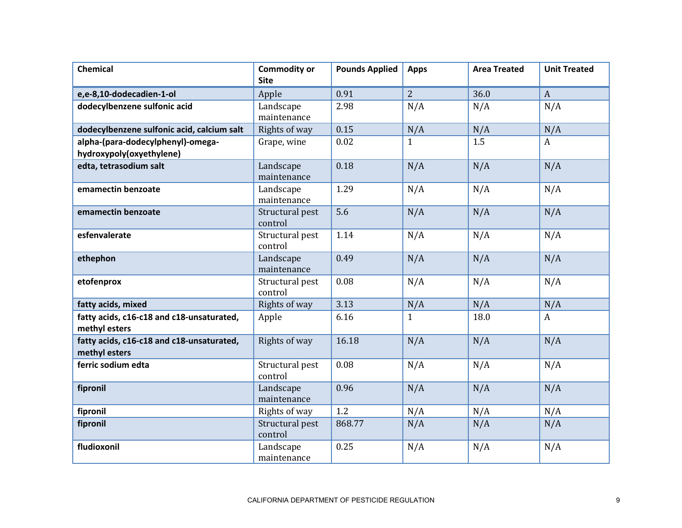| <b>Chemical</b>                                               | <b>Commodity or</b><br><b>Site</b> | <b>Pounds Applied</b> | <b>Apps</b>    | <b>Area Treated</b> | <b>Unit Treated</b> |
|---------------------------------------------------------------|------------------------------------|-----------------------|----------------|---------------------|---------------------|
| e,e-8,10-dodecadien-1-ol                                      | Apple                              | 0.91                  | $\overline{2}$ | 36.0                | $\boldsymbol{A}$    |
| dodecylbenzene sulfonic acid                                  | Landscape<br>maintenance           | 2.98                  | N/A            | N/A                 | N/A                 |
| dodecylbenzene sulfonic acid, calcium salt                    | Rights of way                      | 0.15                  | N/A            | N/A                 | N/A                 |
| alpha-(para-dodecylphenyl)-omega-<br>hydroxypoly(oxyethylene) | Grape, wine                        | 0.02                  | $\mathbf{1}$   | 1.5                 | A                   |
| edta, tetrasodium salt                                        | Landscape<br>maintenance           | 0.18                  | N/A            | N/A                 | N/A                 |
| emamectin benzoate                                            | Landscape<br>maintenance           | 1.29                  | N/A            | N/A                 | N/A                 |
| emamectin benzoate                                            | Structural pest<br>control         | 5.6                   | N/A            | N/A                 | N/A                 |
| esfenvalerate                                                 | Structural pest<br>control         | 1.14                  | N/A            | N/A                 | N/A                 |
| ethephon                                                      | Landscape<br>maintenance           | 0.49                  | N/A            | N/A                 | N/A                 |
| etofenprox                                                    | Structural pest<br>control         | 0.08                  | N/A            | N/A                 | N/A                 |
| fatty acids, mixed                                            | Rights of way                      | 3.13                  | N/A            | N/A                 | N/A                 |
| fatty acids, c16-c18 and c18-unsaturated,<br>methyl esters    | Apple                              | 6.16                  | $\mathbf{1}$   | 18.0                | $\boldsymbol{A}$    |
| fatty acids, c16-c18 and c18-unsaturated,<br>methyl esters    | Rights of way                      | 16.18                 | N/A            | N/A                 | N/A                 |
| ferric sodium edta                                            | Structural pest<br>control         | 0.08                  | N/A            | N/A                 | N/A                 |
| fipronil                                                      | Landscape<br>maintenance           | 0.96                  | N/A            | N/A                 | N/A                 |
| fipronil                                                      | Rights of way                      | 1.2                   | N/A            | N/A                 | N/A                 |
| fipronil                                                      | Structural pest<br>control         | 868.77                | N/A            | N/A                 | N/A                 |
| fludioxonil                                                   | Landscape<br>maintenance           | 0.25                  | N/A            | N/A                 | N/A                 |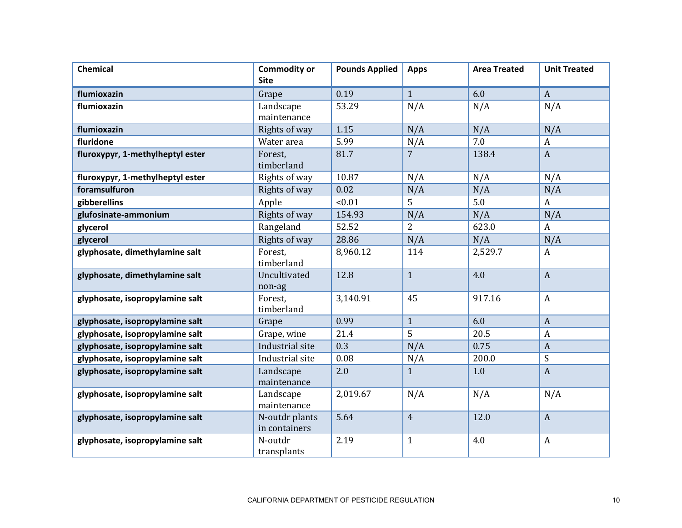| <b>Chemical</b>                  | <b>Commodity or</b><br><b>Site</b> | <b>Pounds Applied</b> | <b>Apps</b>    | <b>Area Treated</b> | <b>Unit Treated</b> |
|----------------------------------|------------------------------------|-----------------------|----------------|---------------------|---------------------|
| flumioxazin                      | Grape                              | 0.19                  | $\mathbf{1}$   | 6.0                 | $\mathbf{A}$        |
| flumioxazin                      | Landscape                          | 53.29                 | N/A            | N/A                 | N/A                 |
|                                  | maintenance                        |                       |                |                     |                     |
| flumioxazin                      | Rights of way                      | 1.15                  | N/A            | N/A                 | N/A                 |
| fluridone                        | Water area                         | 5.99                  | N/A            | 7.0                 | A                   |
| fluroxypyr, 1-methylheptyl ester | Forest.<br>timberland              | 81.7                  | $\overline{7}$ | 138.4               | $\boldsymbol{A}$    |
| fluroxypyr, 1-methylheptyl ester | Rights of way                      | 10.87                 | N/A            | N/A                 | N/A                 |
| foramsulfuron                    | Rights of way                      | 0.02                  | N/A            | N/A                 | N/A                 |
| gibberellins                     | Apple                              | < 0.01                | 5              | 5.0                 | A                   |
| glufosinate-ammonium             | Rights of way                      | 154.93                | N/A            | N/A                 | N/A                 |
| glycerol                         | Rangeland                          | 52.52                 | $\overline{2}$ | 623.0               | A                   |
| glycerol                         | Rights of way                      | 28.86                 | N/A            | N/A                 | N/A                 |
| glyphosate, dimethylamine salt   | Forest,<br>timberland              | 8,960.12              | 114            | 2,529.7             | A                   |
| glyphosate, dimethylamine salt   | Uncultivated<br>non-ag             | 12.8                  | $\mathbf{1}$   | 4.0                 | $\mathbf{A}$        |
| glyphosate, isopropylamine salt  | Forest,<br>timberland              | 3,140.91              | 45             | 917.16              | $\boldsymbol{A}$    |
| glyphosate, isopropylamine salt  | Grape                              | 0.99                  | $\mathbf{1}$   | 6.0                 | $\boldsymbol{A}$    |
| glyphosate, isopropylamine salt  | Grape, wine                        | 21.4                  | 5              | 20.5                | $\boldsymbol{A}$    |
| glyphosate, isopropylamine salt  | Industrial site                    | 0.3                   | N/A            | 0.75                | $\boldsymbol{A}$    |
| glyphosate, isopropylamine salt  | Industrial site                    | 0.08                  | N/A            | 200.0               | ${\mathsf S}$       |
| glyphosate, isopropylamine salt  | Landscape<br>maintenance           | 2.0                   | $\mathbf{1}$   | 1.0                 | $\boldsymbol{A}$    |
| glyphosate, isopropylamine salt  | Landscape<br>maintenance           | 2,019.67              | N/A            | N/A                 | N/A                 |
| glyphosate, isopropylamine salt  | N-outdr plants<br>in containers    | 5.64                  | $\overline{4}$ | 12.0                | $\boldsymbol{A}$    |
| glyphosate, isopropylamine salt  | N-outdr<br>transplants             | 2.19                  | $\mathbf{1}$   | 4.0                 | $\boldsymbol{A}$    |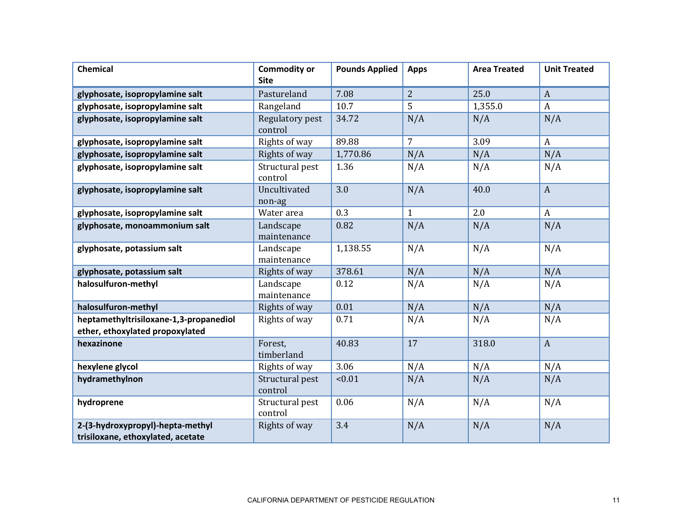| <b>Chemical</b>                                                           | <b>Commodity or</b><br><b>Site</b> | <b>Pounds Applied</b> | <b>Apps</b>    | <b>Area Treated</b> | <b>Unit Treated</b> |
|---------------------------------------------------------------------------|------------------------------------|-----------------------|----------------|---------------------|---------------------|
| glyphosate, isopropylamine salt                                           | Pastureland                        | 7.08                  | $\overline{2}$ | 25.0                | $\mathbf{A}$        |
| glyphosate, isopropylamine salt                                           | Rangeland                          | 10.7                  | 5              | 1,355.0             | A                   |
| glyphosate, isopropylamine salt                                           | <b>Regulatory pest</b><br>control  | 34.72                 | N/A            | N/A                 | N/A                 |
| glyphosate, isopropylamine salt                                           | Rights of way                      | 89.88                 | $\overline{7}$ | 3.09                | $\boldsymbol{A}$    |
| glyphosate, isopropylamine salt                                           | Rights of way                      | 1,770.86              | N/A            | N/A                 | N/A                 |
| glyphosate, isopropylamine salt                                           | Structural pest<br>control         | 1.36                  | N/A            | N/A                 | N/A                 |
| glyphosate, isopropylamine salt                                           | Uncultivated<br>non-ag             | 3.0                   | N/A            | 40.0                | $\mathbf{A}$        |
| glyphosate, isopropylamine salt                                           | Water area                         | 0.3                   | $\mathbf{1}$   | 2.0                 | $\mathbf{A}$        |
| glyphosate, monoammonium salt                                             | Landscape<br>maintenance           | 0.82                  | N/A            | N/A                 | N/A                 |
| glyphosate, potassium salt                                                | Landscape<br>maintenance           | 1,138.55              | N/A            | N/A                 | N/A                 |
| glyphosate, potassium salt                                                | Rights of way                      | 378.61                | N/A            | N/A                 | N/A                 |
| halosulfuron-methyl                                                       | Landscape<br>maintenance           | 0.12                  | N/A            | N/A                 | N/A                 |
| halosulfuron-methyl                                                       | Rights of way                      | 0.01                  | N/A            | N/A                 | N/A                 |
| heptamethyltrisiloxane-1,3-propanediol<br>ether, ethoxylated propoxylated | Rights of way                      | 0.71                  | N/A            | N/A                 | N/A                 |
| hexazinone                                                                | Forest,<br>timberland              | 40.83                 | 17             | 318.0               | $\boldsymbol{A}$    |
| hexylene glycol                                                           | Rights of way                      | 3.06                  | N/A            | N/A                 | N/A                 |
| hydramethylnon                                                            | Structural pest<br>control         | < 0.01                | N/A            | N/A                 | N/A                 |
| hydroprene                                                                | Structural pest<br>control         | 0.06                  | N/A            | N/A                 | N/A                 |
| 2-(3-hydroxypropyl)-hepta-methyl<br>trisiloxane, ethoxylated, acetate     | Rights of way                      | 3.4                   | N/A            | N/A                 | N/A                 |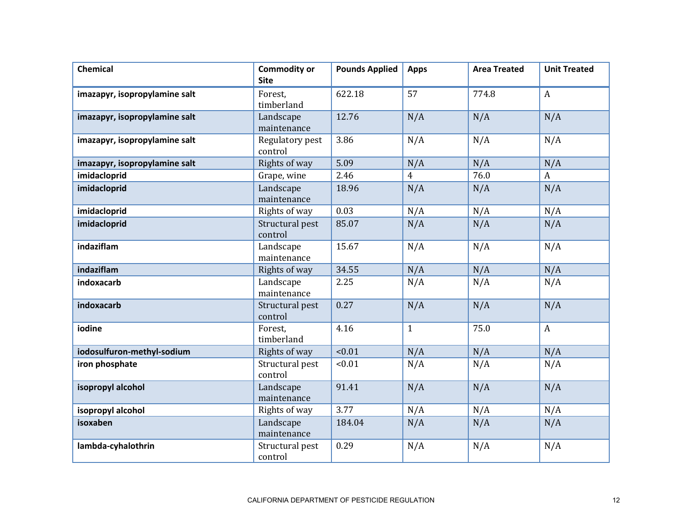| <b>Chemical</b>               | <b>Commodity or</b><br><b>Site</b> | <b>Pounds Applied</b> | <b>Apps</b>  | <b>Area Treated</b> | <b>Unit Treated</b> |
|-------------------------------|------------------------------------|-----------------------|--------------|---------------------|---------------------|
| imazapyr, isopropylamine salt | Forest,<br>timberland              | 622.18                | 57           | 774.8               | $\mathbf{A}$        |
| imazapyr, isopropylamine salt | Landscape<br>maintenance           | 12.76                 | N/A          | N/A                 | N/A                 |
| imazapyr, isopropylamine salt | Regulatory pest<br>control         | 3.86                  | N/A          | N/A                 | N/A                 |
| imazapyr, isopropylamine salt | Rights of way                      | 5.09                  | N/A          | N/A                 | N/A                 |
| imidacloprid                  | Grape, wine                        | 2.46                  | 4            | 76.0                | $\boldsymbol{A}$    |
| imidacloprid                  | Landscape<br>maintenance           | 18.96                 | N/A          | N/A                 | N/A                 |
| imidacloprid                  | Rights of way                      | 0.03                  | N/A          | N/A                 | N/A                 |
| imidacloprid                  | Structural pest<br>control         | 85.07                 | N/A          | N/A                 | N/A                 |
| indaziflam                    | Landscape<br>maintenance           | 15.67                 | N/A          | N/A                 | N/A                 |
| indaziflam                    | Rights of way                      | 34.55                 | N/A          | N/A                 | N/A                 |
| indoxacarb                    | Landscape<br>maintenance           | 2.25                  | N/A          | N/A                 | N/A                 |
| indoxacarb                    | Structural pest<br>control         | 0.27                  | N/A          | N/A                 | N/A                 |
| iodine                        | Forest,<br>timberland              | 4.16                  | $\mathbf{1}$ | 75.0                | $\mathbf{A}$        |
| iodosulfuron-methyl-sodium    | Rights of way                      | < 0.01                | N/A          | N/A                 | N/A                 |
| iron phosphate                | Structural pest<br>control         | < 0.01                | N/A          | N/A                 | N/A                 |
| isopropyl alcohol             | Landscape<br>maintenance           | 91.41                 | N/A          | N/A                 | N/A                 |
| isopropyl alcohol             | Rights of way                      | 3.77                  | N/A          | N/A                 | N/A                 |
| isoxaben                      | Landscape<br>maintenance           | 184.04                | N/A          | N/A                 | N/A                 |
| lambda-cyhalothrin            | Structural pest<br>control         | 0.29                  | N/A          | N/A                 | N/A                 |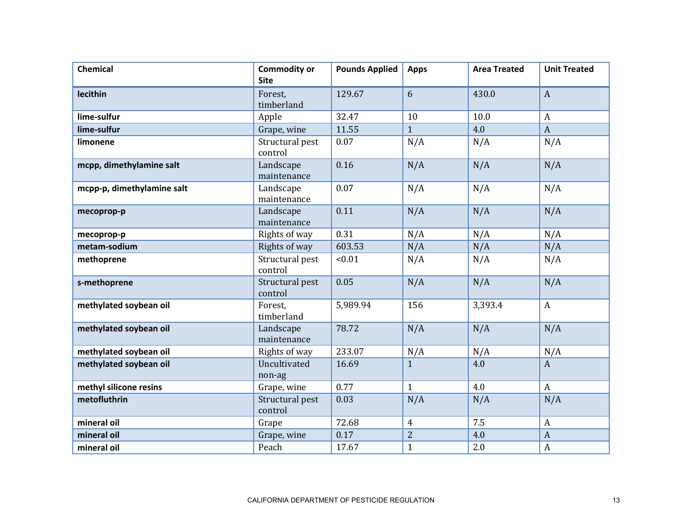| <b>Chemical</b>            | <b>Commodity or</b><br><b>Site</b> | <b>Pounds Applied</b> | <b>Apps</b>    | <b>Area Treated</b> | <b>Unit Treated</b> |
|----------------------------|------------------------------------|-----------------------|----------------|---------------------|---------------------|
| lecithin                   | Forest,<br>timberland              | 129.67                | 6              | 430.0               | $\mathbf{A}$        |
| lime-sulfur                | Apple                              | 32.47                 | 10             | 10.0                | $\boldsymbol{A}$    |
| lime-sulfur                | Grape, wine                        | 11.55                 | $\mathbf{1}$   | 4.0                 | $\boldsymbol{A}$    |
| limonene                   | Structural pest<br>control         | 0.07                  | N/A            | N/A                 | N/A                 |
| mcpp, dimethylamine salt   | Landscape<br>maintenance           | 0.16                  | N/A            | N/A                 | N/A                 |
| mcpp-p, dimethylamine salt | Landscape<br>maintenance           | 0.07                  | N/A            | N/A                 | N/A                 |
| mecoprop-p                 | Landscape<br>maintenance           | 0.11                  | N/A            | N/A                 | N/A                 |
| mecoprop-p                 | Rights of way                      | 0.31                  | N/A            | N/A                 | N/A                 |
| metam-sodium               | Rights of way                      | 603.53                | N/A            | N/A                 | N/A                 |
| methoprene                 | Structural pest<br>control         | < 0.01                | N/A            | N/A                 | N/A                 |
| s-methoprene               | Structural pest<br>control         | 0.05                  | N/A            | N/A                 | N/A                 |
| methylated soybean oil     | Forest.<br>timberland              | 5,989.94              | 156            | 3,393.4             | $\mathbf{A}$        |
| methylated soybean oil     | Landscape<br>maintenance           | 78.72                 | N/A            | N/A                 | N/A                 |
| methylated soybean oil     | Rights of way                      | 233.07                | N/A            | N/A                 | N/A                 |
| methylated soybean oil     | Uncultivated<br>non-ag             | 16.69                 | $\overline{1}$ | 4.0                 | $\mathbf{A}$        |
| methyl silicone resins     | Grape, wine                        | 0.77                  | $\mathbf{1}$   | 4.0                 | $\mathbf{A}$        |
| metofluthrin               | Structural pest<br>control         | 0.03                  | N/A            | N/A                 | N/A                 |
| mineral oil                | Grape                              | 72.68                 | $\overline{4}$ | 7.5                 | $\boldsymbol{A}$    |
| mineral oil                | Grape, wine                        | 0.17                  | $\overline{c}$ | 4.0                 | $\boldsymbol{A}$    |
| mineral oil                | Peach                              | 17.67                 | $\mathbf{1}$   | 2.0                 | $\boldsymbol{A}$    |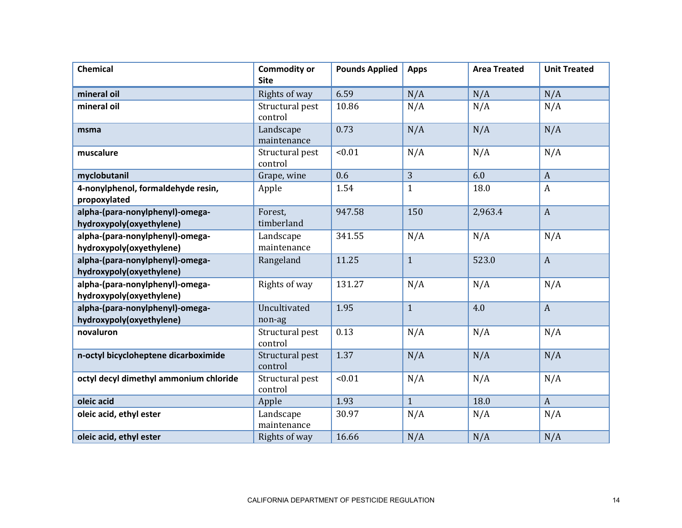| <b>Chemical</b>                                             | <b>Commodity or</b><br><b>Site</b> | <b>Pounds Applied</b> | <b>Apps</b>  | <b>Area Treated</b> | <b>Unit Treated</b> |
|-------------------------------------------------------------|------------------------------------|-----------------------|--------------|---------------------|---------------------|
| mineral oil                                                 | Rights of way                      | 6.59                  | N/A          | N/A                 | N/A                 |
| mineral oil                                                 | Structural pest<br>control         | 10.86                 | N/A          | N/A                 | N/A                 |
| msma                                                        | Landscape<br>maintenance           | 0.73                  | N/A          | N/A                 | N/A                 |
| muscalure                                                   | Structural pest<br>control         | < 0.01                | N/A          | N/A                 | N/A                 |
| myclobutanil                                                | Grape, wine                        | 0.6                   | 3            | 6.0                 | $\boldsymbol{A}$    |
| 4-nonylphenol, formaldehyde resin,<br>propoxylated          | Apple                              | 1.54                  | $\mathbf{1}$ | 18.0                | $\boldsymbol{A}$    |
| alpha-(para-nonylphenyl)-omega-<br>hydroxypoly(oxyethylene) | Forest,<br>timberland              | 947.58                | 150          | 2,963.4             | $\boldsymbol{A}$    |
| alpha-(para-nonylphenyl)-omega-<br>hydroxypoly(oxyethylene) | Landscape<br>maintenance           | 341.55                | N/A          | N/A                 | N/A                 |
| alpha-(para-nonylphenyl)-omega-<br>hydroxypoly(oxyethylene) | Rangeland                          | 11.25                 | $\mathbf{1}$ | 523.0               | $\boldsymbol{A}$    |
| alpha-(para-nonylphenyl)-omega-<br>hydroxypoly(oxyethylene) | Rights of way                      | 131.27                | N/A          | N/A                 | N/A                 |
| alpha-(para-nonylphenyl)-omega-<br>hydroxypoly(oxyethylene) | Uncultivated<br>non-ag             | 1.95                  | $\mathbf{1}$ | 4.0                 | $\boldsymbol{A}$    |
| novaluron                                                   | Structural pest<br>control         | 0.13                  | N/A          | N/A                 | N/A                 |
| n-octyl bicycloheptene dicarboximide                        | Structural pest<br>control         | 1.37                  | N/A          | N/A                 | N/A                 |
| octyl decyl dimethyl ammonium chloride                      | Structural pest<br>control         | < 0.01                | N/A          | N/A                 | N/A                 |
| oleic acid                                                  | Apple                              | 1.93                  | $\mathbf{1}$ | 18.0                | $\boldsymbol{A}$    |
| oleic acid, ethyl ester                                     | Landscape<br>maintenance           | 30.97                 | N/A          | N/A                 | N/A                 |
| oleic acid, ethyl ester                                     | Rights of way                      | 16.66                 | N/A          | N/A                 | N/A                 |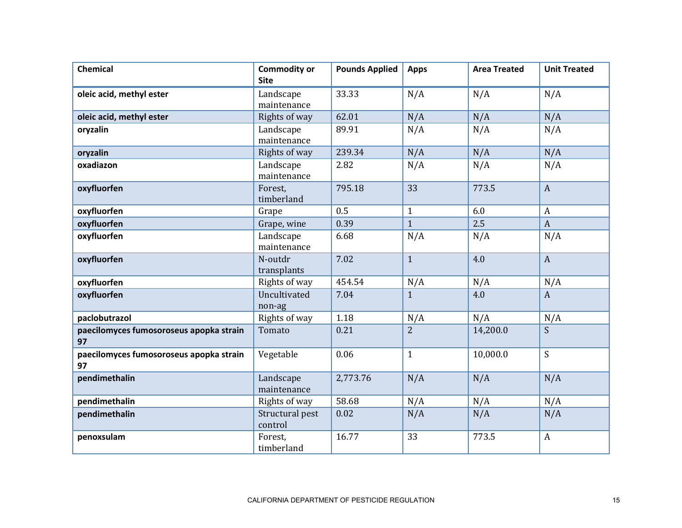| <b>Chemical</b>                               | <b>Commodity or</b><br><b>Site</b> | <b>Pounds Applied</b> | <b>Apps</b>    | <b>Area Treated</b> | <b>Unit Treated</b> |
|-----------------------------------------------|------------------------------------|-----------------------|----------------|---------------------|---------------------|
| oleic acid, methyl ester                      | Landscape<br>maintenance           | 33.33                 | N/A            | N/A                 | N/A                 |
| oleic acid, methyl ester                      | Rights of way                      | 62.01                 | N/A            | N/A                 | N/A                 |
| oryzalin                                      | Landscape<br>maintenance           | 89.91                 | N/A            | N/A                 | N/A                 |
| oryzalin                                      | Rights of way                      | 239.34                | N/A            | N/A                 | N/A                 |
| oxadiazon                                     | Landscape<br>maintenance           | 2.82                  | N/A            | N/A                 | N/A                 |
| oxyfluorfen                                   | Forest,<br>timberland              | 795.18                | 33             | 773.5               | $\mathbf{A}$        |
| oxyfluorfen                                   | Grape                              | 0.5                   | $\mathbf{1}$   | 6.0                 | $\boldsymbol{A}$    |
| oxyfluorfen                                   | Grape, wine                        | 0.39                  | $\mathbf{1}$   | 2.5                 | $\mathbf{A}$        |
| oxyfluorfen                                   | Landscape<br>maintenance           | 6.68                  | N/A            | N/A                 | N/A                 |
| oxyfluorfen                                   | N-outdr<br>transplants             | 7.02                  | $\mathbf{1}$   | 4.0                 | $\mathbf{A}$        |
| oxyfluorfen                                   | Rights of way                      | 454.54                | N/A            | N/A                 | N/A                 |
| oxyfluorfen                                   | Uncultivated<br>non-ag             | 7.04                  | $\mathbf{1}$   | 4.0                 | $\mathbf{A}$        |
| paclobutrazol                                 | Rights of way                      | 1.18                  | N/A            | N/A                 | N/A                 |
| paecilomyces fumosoroseus apopka strain<br>97 | Tomato                             | 0.21                  | $\overline{2}$ | 14,200.0            | S.                  |
| paecilomyces fumosoroseus apopka strain<br>97 | Vegetable                          | 0.06                  | $\mathbf{1}$   | 10,000.0            | S                   |
| pendimethalin                                 | Landscape<br>maintenance           | 2,773.76              | N/A            | N/A                 | N/A                 |
| pendimethalin                                 | Rights of way                      | 58.68                 | N/A            | N/A                 | N/A                 |
| pendimethalin                                 | Structural pest<br>control         | 0.02                  | N/A            | N/A                 | N/A                 |
| penoxsulam                                    | Forest,<br>timberland              | 16.77                 | 33             | 773.5               | $\boldsymbol{A}$    |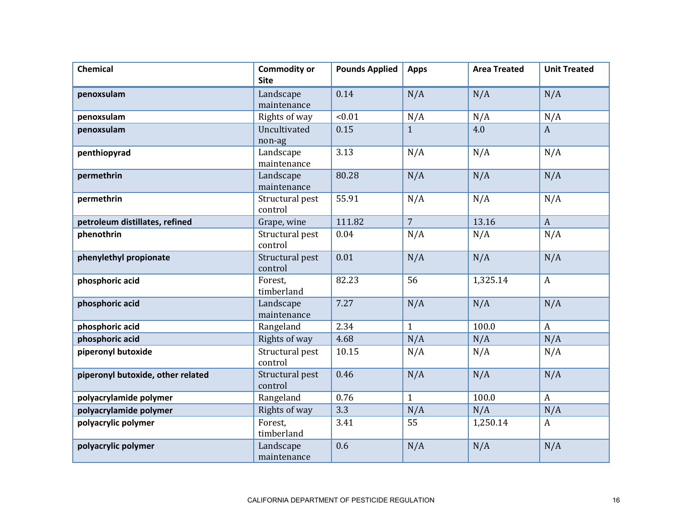| <b>Chemical</b>                   | <b>Commodity or</b><br><b>Site</b> | <b>Pounds Applied</b> | <b>Apps</b>    | <b>Area Treated</b> | <b>Unit Treated</b> |
|-----------------------------------|------------------------------------|-----------------------|----------------|---------------------|---------------------|
| penoxsulam                        | Landscape<br>maintenance           | 0.14                  | N/A            | N/A                 | N/A                 |
| penoxsulam                        | Rights of way                      | < 0.01                | N/A            | N/A                 | N/A                 |
| penoxsulam                        | Uncultivated<br>non-ag             | 0.15                  | $\overline{1}$ | 4.0                 | $\mathbf{A}$        |
| penthiopyrad                      | Landscape<br>maintenance           | 3.13                  | N/A            | N/A                 | N/A                 |
| permethrin                        | Landscape<br>maintenance           | 80.28                 | N/A            | N/A                 | N/A                 |
| permethrin                        | Structural pest<br>control         | 55.91                 | N/A            | N/A                 | N/A                 |
| petroleum distillates, refined    | Grape, wine                        | 111.82                | $\overline{7}$ | 13.16               | $\boldsymbol{A}$    |
| phenothrin                        | Structural pest<br>control         | 0.04                  | N/A            | N/A                 | N/A                 |
| phenylethyl propionate            | Structural pest<br>control         | 0.01                  | N/A            | N/A                 | N/A                 |
| phosphoric acid                   | Forest.<br>timberland              | 82.23                 | 56             | 1,325.14            | $\mathbf{A}$        |
| phosphoric acid                   | Landscape<br>maintenance           | 7.27                  | N/A            | N/A                 | N/A                 |
| phosphoric acid                   | Rangeland                          | 2.34                  | $\mathbf{1}$   | 100.0               | $\mathbf{A}$        |
| phosphoric acid                   | Rights of way                      | 4.68                  | N/A            | N/A                 | N/A                 |
| piperonyl butoxide                | Structural pest<br>control         | 10.15                 | N/A            | N/A                 | N/A                 |
| piperonyl butoxide, other related | Structural pest<br>control         | 0.46                  | N/A            | N/A                 | N/A                 |
| polyacrylamide polymer            | Rangeland                          | 0.76                  | $\mathbf{1}$   | 100.0               | $\mathbf{A}$        |
| polyacrylamide polymer            | Rights of way                      | 3.3                   | N/A            | N/A                 | N/A                 |
| polyacrylic polymer               | Forest,<br>timberland              | 3.41                  | 55             | 1,250.14            | $\mathbf{A}$        |
| polyacrylic polymer               | Landscape<br>maintenance           | 0.6                   | N/A            | N/A                 | N/A                 |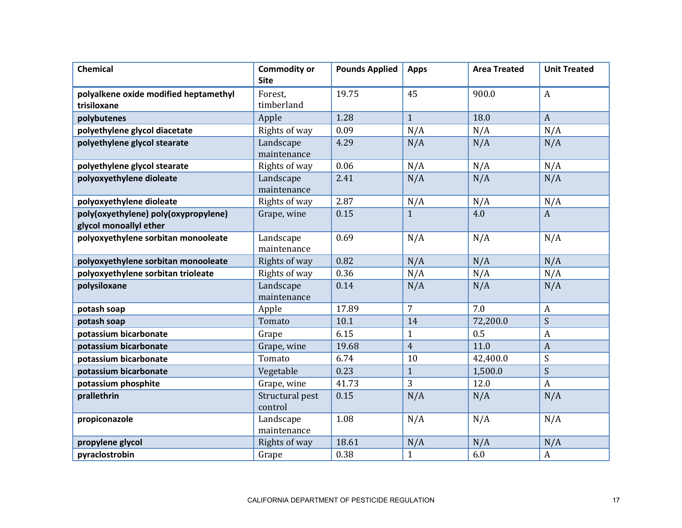| <b>Chemical</b>                                                | <b>Commodity or</b><br><b>Site</b> | <b>Pounds Applied</b> | <b>Apps</b>    | <b>Area Treated</b> | <b>Unit Treated</b> |
|----------------------------------------------------------------|------------------------------------|-----------------------|----------------|---------------------|---------------------|
| polyalkene oxide modified heptamethyl<br>trisiloxane           | Forest,<br>timberland              | 19.75                 | 45             | 900.0               | $\boldsymbol{A}$    |
| polybutenes                                                    | Apple                              | 1.28                  | $\mathbf{1}$   | 18.0                | $\overline{A}$      |
| polyethylene glycol diacetate                                  | Rights of way                      | 0.09                  | N/A            | N/A                 | N/A                 |
| polyethylene glycol stearate                                   | Landscape<br>maintenance           | 4.29                  | N/A            | N/A                 | N/A                 |
| polyethylene glycol stearate                                   | Rights of way                      | 0.06                  | N/A            | N/A                 | N/A                 |
| polyoxyethylene dioleate                                       | Landscape<br>maintenance           | 2.41                  | N/A            | N/A                 | N/A                 |
| polyoxyethylene dioleate                                       | Rights of way                      | 2.87                  | N/A            | N/A                 | N/A                 |
| poly(oxyethylene) poly(oxypropylene)<br>glycol monoallyl ether | Grape, wine                        | 0.15                  | $\mathbf{1}$   | 4.0                 | $\mathbf{A}$        |
| polyoxyethylene sorbitan monooleate                            | Landscape<br>maintenance           | 0.69                  | N/A            | N/A                 | N/A                 |
| polyoxyethylene sorbitan monooleate                            | Rights of way                      | 0.82                  | N/A            | N/A                 | N/A                 |
| polyoxyethylene sorbitan trioleate                             | Rights of way                      | 0.36                  | N/A            | N/A                 | N/A                 |
| polysiloxane                                                   | Landscape<br>maintenance           | 0.14                  | N/A            | N/A                 | N/A                 |
| potash soap                                                    | Apple                              | 17.89                 | $\overline{7}$ | 7.0                 | $\boldsymbol{A}$    |
| potash soap                                                    | Tomato                             | 10.1                  | 14             | 72,200.0            | S                   |
| potassium bicarbonate                                          | Grape                              | 6.15                  | $\mathbf{1}$   | 0.5                 | $\boldsymbol{A}$    |
| potassium bicarbonate                                          | Grape, wine                        | 19.68                 | $\overline{4}$ | 11.0                | $\boldsymbol{A}$    |
| potassium bicarbonate                                          | Tomato                             | 6.74                  | 10             | 42,400.0            | S                   |
| potassium bicarbonate                                          | Vegetable                          | 0.23                  | $\mathbf{1}$   | 1,500.0             | S                   |
| potassium phosphite                                            | Grape, wine                        | 41.73                 | 3              | 12.0                | $\boldsymbol{A}$    |
| prallethrin                                                    | Structural pest<br>control         | 0.15                  | N/A            | N/A                 | N/A                 |
| propiconazole                                                  | Landscape<br>maintenance           | 1.08                  | N/A            | N/A                 | N/A                 |
| propylene glycol                                               | Rights of way                      | 18.61                 | N/A            | N/A                 | N/A                 |
| pyraclostrobin                                                 | Grape                              | 0.38                  | $\mathbf{1}$   | 6.0                 | $\boldsymbol{A}$    |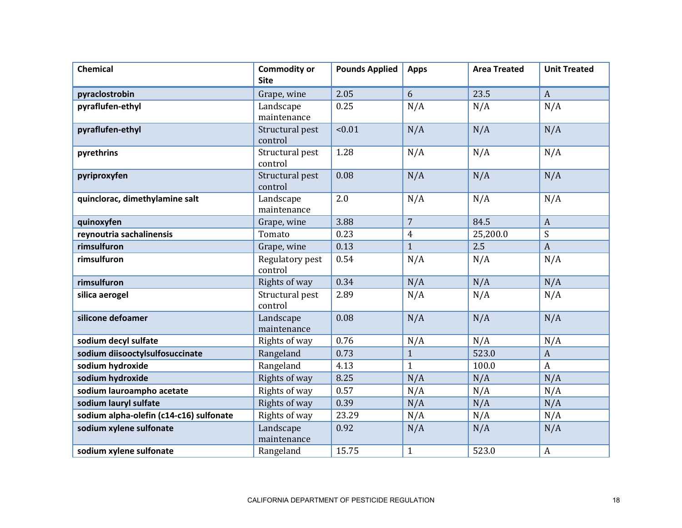| <b>Chemical</b>                         | <b>Commodity or</b><br><b>Site</b> | <b>Pounds Applied</b> | <b>Apps</b>    | <b>Area Treated</b> | <b>Unit Treated</b> |
|-----------------------------------------|------------------------------------|-----------------------|----------------|---------------------|---------------------|
|                                         |                                    |                       |                |                     |                     |
| pyraclostrobin                          | Grape, wine                        | 2.05                  | 6              | 23.5                | $\mathbf{A}$        |
| pyraflufen-ethyl                        | Landscape<br>maintenance           | 0.25                  | N/A            | N/A                 | N/A                 |
|                                         | Structural pest                    | < 0.01                | N/A            | N/A                 | N/A                 |
| pyraflufen-ethyl                        | control                            |                       |                |                     |                     |
| pyrethrins                              | Structural pest<br>control         | 1.28                  | N/A            | N/A                 | N/A                 |
| pyriproxyfen                            | Structural pest<br>control         | 0.08                  | N/A            | N/A                 | N/A                 |
| quinclorac, dimethylamine salt          | Landscape<br>maintenance           | 2.0                   | N/A            | N/A                 | N/A                 |
| quinoxyfen                              | Grape, wine                        | 3.88                  | $\overline{7}$ | 84.5                | $\mathbf{A}$        |
| reynoutria sachalinensis                | Tomato                             | 0.23                  | $\overline{4}$ | 25,200.0            | S                   |
| rimsulfuron                             | Grape, wine                        | 0.13                  | $\mathbf{1}$   | 2.5                 | $\boldsymbol{A}$    |
| rimsulfuron                             | Regulatory pest<br>control         | 0.54                  | N/A            | N/A                 | N/A                 |
| rimsulfuron                             | Rights of way                      | 0.34                  | N/A            | N/A                 | N/A                 |
| silica aerogel                          | Structural pest<br>control         | 2.89                  | N/A            | N/A                 | N/A                 |
| silicone defoamer                       | Landscape<br>maintenance           | 0.08                  | N/A            | N/A                 | N/A                 |
| sodium decyl sulfate                    | Rights of way                      | 0.76                  | N/A            | N/A                 | N/A                 |
| sodium diisooctylsulfosuccinate         | Rangeland                          | 0.73                  | $\mathbf{1}$   | 523.0               | $\mathbf{A}$        |
| sodium hydroxide                        | Rangeland                          | 4.13                  | $\mathbf{1}$   | 100.0               | $\boldsymbol{A}$    |
| sodium hydroxide                        | Rights of way                      | 8.25                  | N/A            | N/A                 | N/A                 |
| sodium lauroampho acetate               | Rights of way                      | 0.57                  | N/A            | N/A                 | N/A                 |
| sodium lauryl sulfate                   | Rights of way                      | 0.39                  | N/A            | N/A                 | N/A                 |
| sodium alpha-olefin (c14-c16) sulfonate | Rights of way                      | 23.29                 | N/A            | N/A                 | N/A                 |
| sodium xylene sulfonate                 | Landscape<br>maintenance           | 0.92                  | N/A            | N/A                 | N/A                 |
| sodium xylene sulfonate                 | Rangeland                          | 15.75                 | $\mathbf{1}$   | 523.0               | A                   |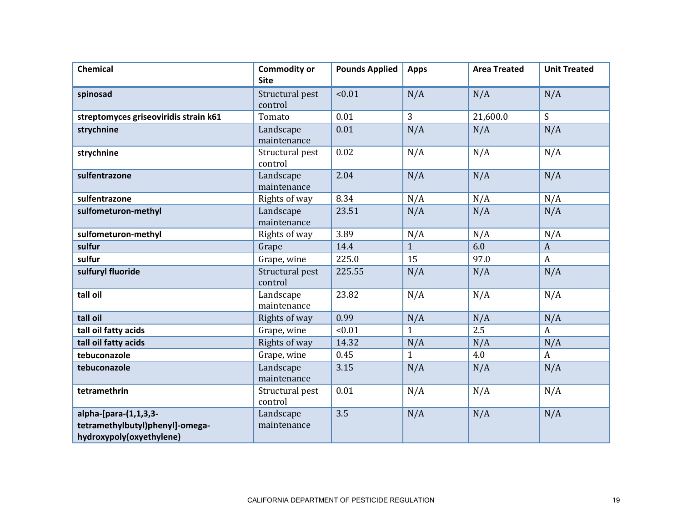| <b>Chemical</b>                                                                      | <b>Commodity or</b><br><b>Site</b> | <b>Pounds Applied</b> | <b>Apps</b>    | <b>Area Treated</b> | <b>Unit Treated</b> |
|--------------------------------------------------------------------------------------|------------------------------------|-----------------------|----------------|---------------------|---------------------|
| spinosad                                                                             | Structural pest<br>control         | < 0.01                | N/A            | N/A                 | N/A                 |
| streptomyces griseoviridis strain k61                                                | Tomato                             | 0.01                  | $\overline{3}$ | 21,600.0            | $\mathsf{S}$        |
| strychnine                                                                           | Landscape<br>maintenance           | 0.01                  | N/A            | N/A                 | N/A                 |
| strychnine                                                                           | Structural pest<br>control         | 0.02                  | N/A            | N/A                 | N/A                 |
| sulfentrazone                                                                        | Landscape<br>maintenance           | 2.04                  | N/A            | N/A                 | N/A                 |
| sulfentrazone                                                                        | Rights of way                      | 8.34                  | N/A            | N/A                 | N/A                 |
| sulfometuron-methyl                                                                  | Landscape<br>maintenance           | 23.51                 | N/A            | N/A                 | N/A                 |
| sulfometuron-methyl                                                                  | Rights of way                      | 3.89                  | N/A            | N/A                 | N/A                 |
| sulfur                                                                               | Grape                              | 14.4                  | $\mathbf{1}$   | 6.0                 | $\boldsymbol{A}$    |
| sulfur                                                                               | Grape, wine                        | 225.0                 | 15             | 97.0                | $\mathbf{A}$        |
| sulfuryl fluoride                                                                    | Structural pest<br>control         | 225.55                | N/A            | N/A                 | N/A                 |
| tall oil                                                                             | Landscape<br>maintenance           | 23.82                 | N/A            | N/A                 | N/A                 |
| tall oil                                                                             | Rights of way                      | 0.99                  | N/A            | N/A                 | N/A                 |
| tall oil fatty acids                                                                 | Grape, wine                        | < 0.01                | $\mathbf{1}$   | 2.5                 | $\mathbf{A}$        |
| tall oil fatty acids                                                                 | Rights of way                      | 14.32                 | N/A            | N/A                 | N/A                 |
| tebuconazole                                                                         | Grape, wine                        | 0.45                  | $\mathbf{1}$   | 4.0                 | $\boldsymbol{A}$    |
| tebuconazole                                                                         | Landscape<br>maintenance           | 3.15                  | N/A            | N/A                 | N/A                 |
| tetramethrin                                                                         | Structural pest<br>control         | 0.01                  | N/A            | N/A                 | N/A                 |
| alpha-[para-(1,1,3,3-<br>tetramethylbutyl)phenyl]-omega-<br>hydroxypoly(oxyethylene) | Landscape<br>maintenance           | 3.5                   | N/A            | N/A                 | N/A                 |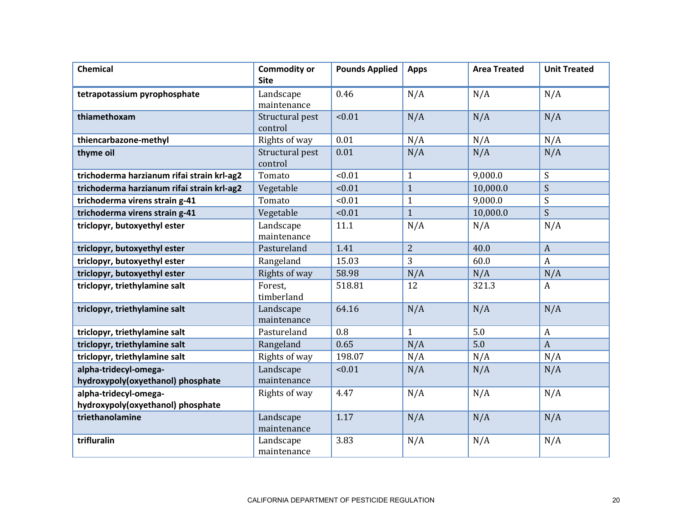| <b>Chemical</b>                            | <b>Commodity or</b><br><b>Site</b> | <b>Pounds Applied</b> | <b>Apps</b>    | <b>Area Treated</b> | <b>Unit Treated</b> |
|--------------------------------------------|------------------------------------|-----------------------|----------------|---------------------|---------------------|
| tetrapotassium pyrophosphate               | Landscape<br>maintenance           | 0.46                  | N/A            | N/A                 | N/A                 |
| thiamethoxam                               | Structural pest<br>control         | < 0.01                | N/A            | N/A                 | N/A                 |
| thiencarbazone-methyl                      | Rights of way                      | 0.01                  | N/A            | N/A                 | N/A                 |
| thyme oil                                  | Structural pest<br>control         | 0.01                  | N/A            | N/A                 | N/A                 |
| trichoderma harzianum rifai strain krl-ag2 | Tomato                             | < 0.01                | $\mathbf{1}$   | 9,000.0             | S                   |
| trichoderma harzianum rifai strain krl-ag2 | Vegetable                          | < 0.01                | $\mathbf{1}$   | 10,000.0            | S                   |
| trichoderma virens strain g-41             | Tomato                             | < 0.01                | $\mathbf{1}$   | 9,000.0             | S                   |
| trichoderma virens strain g-41             | Vegetable                          | 10.01                 | $\mathbf{1}$   | 10,000.0            | S                   |
| triclopyr, butoxyethyl ester               | Landscape<br>maintenance           | 11.1                  | N/A            | N/A                 | N/A                 |
| triclopyr, butoxyethyl ester               | Pastureland                        | 1.41                  | $\overline{2}$ | 40.0                | $\boldsymbol{A}$    |
| triclopyr, butoxyethyl ester               | Rangeland                          | 15.03                 | 3              | 60.0                | $\boldsymbol{A}$    |
| triclopyr, butoxyethyl ester               | Rights of way                      | 58.98                 | N/A            | N/A                 | N/A                 |
| triclopyr, triethylamine salt              | Forest,<br>timberland              | 518.81                | 12             | 321.3               | $\mathbf{A}$        |
| triclopyr, triethylamine salt              | Landscape<br>maintenance           | 64.16                 | N/A            | N/A                 | N/A                 |
| triclopyr, triethylamine salt              | Pastureland                        | 0.8                   | $\mathbf{1}$   | 5.0                 | $\boldsymbol{A}$    |
| triclopyr, triethylamine salt              | Rangeland                          | 0.65                  | N/A            | 5.0                 | $\mathbf{A}$        |
| triclopyr, triethylamine salt              | Rights of way                      | 198.07                | N/A            | N/A                 | N/A                 |
| alpha-tridecyl-omega-                      | Landscape                          | < 0.01                | N/A            | N/A                 | N/A                 |
| hydroxypoly(oxyethanol) phosphate          | maintenance                        |                       |                |                     |                     |
| alpha-tridecyl-omega-                      | Rights of way                      | 4.47                  | N/A            | N/A                 | N/A                 |
| hydroxypoly(oxyethanol) phosphate          |                                    |                       |                |                     |                     |
| triethanolamine                            | Landscape<br>maintenance           | 1.17                  | N/A            | N/A                 | N/A                 |
| trifluralin                                | Landscape<br>maintenance           | 3.83                  | N/A            | N/A                 | N/A                 |